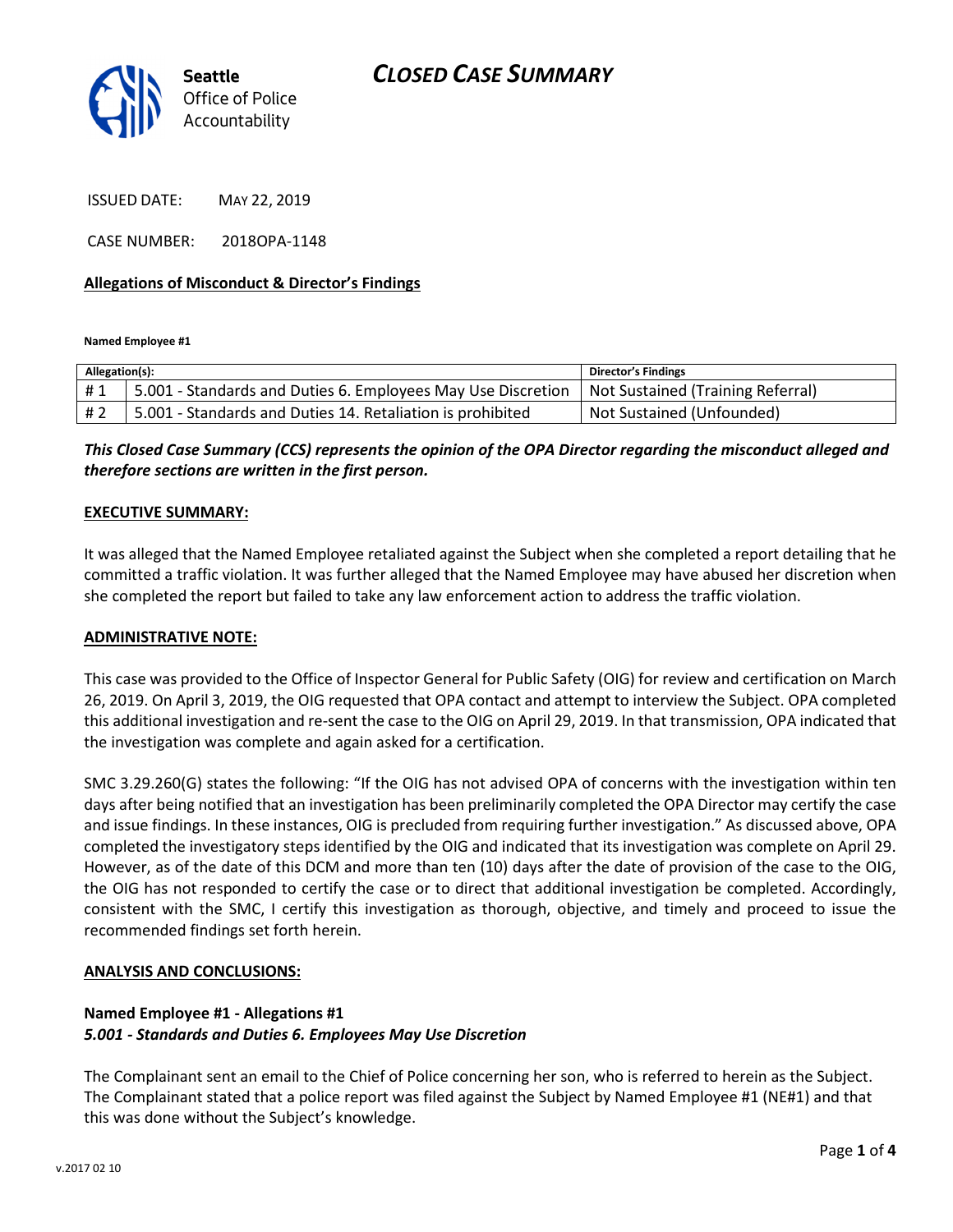

ISSUED DATE: MAY 22, 2019

CASE NUMBER: 2018OPA-1148

### Allegations of Misconduct & Director's Findings

Named Employee #1

| Allegation(s): |                                                                                                  | <b>Director's Findings</b> |
|----------------|--------------------------------------------------------------------------------------------------|----------------------------|
| #1             | 5.001 - Standards and Duties 6. Employees May Use Discretion   Not Sustained (Training Referral) |                            |
| #2             | 5.001 - Standards and Duties 14. Retaliation is prohibited                                       | Not Sustained (Unfounded)  |

This Closed Case Summary (CCS) represents the opinion of the OPA Director regarding the misconduct alleged and therefore sections are written in the first person.

### EXECUTIVE SUMMARY:

It was alleged that the Named Employee retaliated against the Subject when she completed a report detailing that he committed a traffic violation. It was further alleged that the Named Employee may have abused her discretion when she completed the report but failed to take any law enforcement action to address the traffic violation.

### ADMINISTRATIVE NOTE:

This case was provided to the Office of Inspector General for Public Safety (OIG) for review and certification on March 26, 2019. On April 3, 2019, the OIG requested that OPA contact and attempt to interview the Subject. OPA completed this additional investigation and re-sent the case to the OIG on April 29, 2019. In that transmission, OPA indicated that the investigation was complete and again asked for a certification.

SMC 3.29.260(G) states the following: "If the OIG has not advised OPA of concerns with the investigation within ten days after being notified that an investigation has been preliminarily completed the OPA Director may certify the case and issue findings. In these instances, OIG is precluded from requiring further investigation." As discussed above, OPA completed the investigatory steps identified by the OIG and indicated that its investigation was complete on April 29. However, as of the date of this DCM and more than ten (10) days after the date of provision of the case to the OIG, the OIG has not responded to certify the case or to direct that additional investigation be completed. Accordingly, consistent with the SMC, I certify this investigation as thorough, objective, and timely and proceed to issue the recommended findings set forth herein.

### ANALYSIS AND CONCLUSIONS:

## Named Employee #1 - Allegations #1 5.001 - Standards and Duties 6. Employees May Use Discretion

The Complainant sent an email to the Chief of Police concerning her son, who is referred to herein as the Subject. The Complainant stated that a police report was filed against the Subject by Named Employee #1 (NE#1) and that this was done without the Subject's knowledge.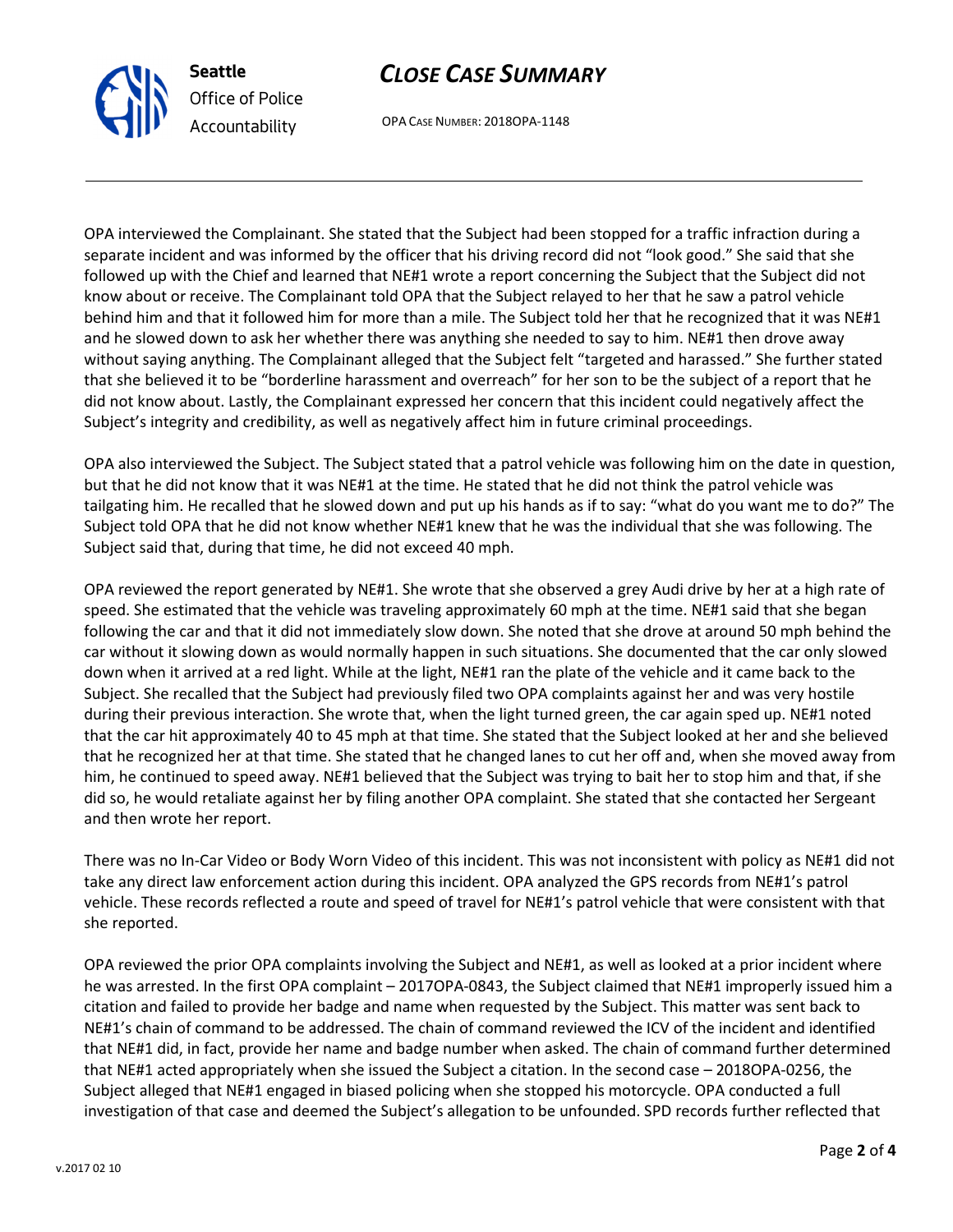OPA reviewed the prior OPA complaints involving the Subject and NE#1, as well as looked at a prior incident where he was arrested. In the first OPA complaint – 2017OPA-0843, the Subject claimed that NE#1 improperly issued him a citation and failed to provide her badge and name when requested by the Subject. This matter was sent back to NE#1's chain of command to be addressed. The chain of command reviewed the ICV of the incident and identified that NE#1 did, in fact, provide her name and badge number when asked. The chain of command further determined that NE#1 acted appropriately when she issued the Subject a citation. In the second case – 2018OPA-0256, the Subject alleged that NE#1 engaged in biased policing when she stopped his motorcycle. OPA conducted a full investigation of that case and deemed the Subject's allegation to be unfounded. SPD records further reflected that

Seattle Office of Police Accountability

# CLOSE CASE SUMMARY

OPA CASE NUMBER: 2018OPA-1148

OPA interviewed the Complainant. She stated that the Subject had been stopped for a traffic infraction during a separate incident and was informed by the officer that his driving record did not "look good." She said that she followed up with the Chief and learned that NE#1 wrote a report concerning the Subject that the Subject did not know about or receive. The Complainant told OPA that the Subject relayed to her that he saw a patrol vehicle behind him and that it followed him for more than a mile. The Subject told her that he recognized that it was NE#1 and he slowed down to ask her whether there was anything she needed to say to him. NE#1 then drove away without saying anything. The Complainant alleged that the Subject felt "targeted and harassed." She further stated that she believed it to be "borderline harassment and overreach" for her son to be the subject of a report that he did not know about. Lastly, the Complainant expressed her concern that this incident could negatively affect the Subject's integrity and credibility, as well as negatively affect him in future criminal proceedings.

OPA also interviewed the Subject. The Subject stated that a patrol vehicle was following him on the date in question, but that he did not know that it was NE#1 at the time. He stated that he did not think the patrol vehicle was tailgating him. He recalled that he slowed down and put up his hands as if to say: "what do you want me to do?" The Subject told OPA that he did not know whether NE#1 knew that he was the individual that she was following. The Subject said that, during that time, he did not exceed 40 mph.

OPA reviewed the report generated by NE#1. She wrote that she observed a grey Audi drive by her at a high rate of speed. She estimated that the vehicle was traveling approximately 60 mph at the time. NE#1 said that she began following the car and that it did not immediately slow down. She noted that she drove at around 50 mph behind the car without it slowing down as would normally happen in such situations. She documented that the car only slowed down when it arrived at a red light. While at the light, NE#1 ran the plate of the vehicle and it came back to the Subject. She recalled that the Subject had previously filed two OPA complaints against her and was very hostile during their previous interaction. She wrote that, when the light turned green, the car again sped up. NE#1 noted that the car hit approximately 40 to 45 mph at that time. She stated that the Subject looked at her and she believed that he recognized her at that time. She stated that he changed lanes to cut her off and, when she moved away from him, he continued to speed away. NE#1 believed that the Subject was trying to bait her to stop him and that, if she did so, he would retaliate against her by filing another OPA complaint. She stated that she contacted her Sergeant and then wrote her report.

There was no In-Car Video or Body Worn Video of this incident. This was not inconsistent with policy as NE#1 did not

take any direct law enforcement action during this incident. OPA analyzed the GPS records from NE#1's patrol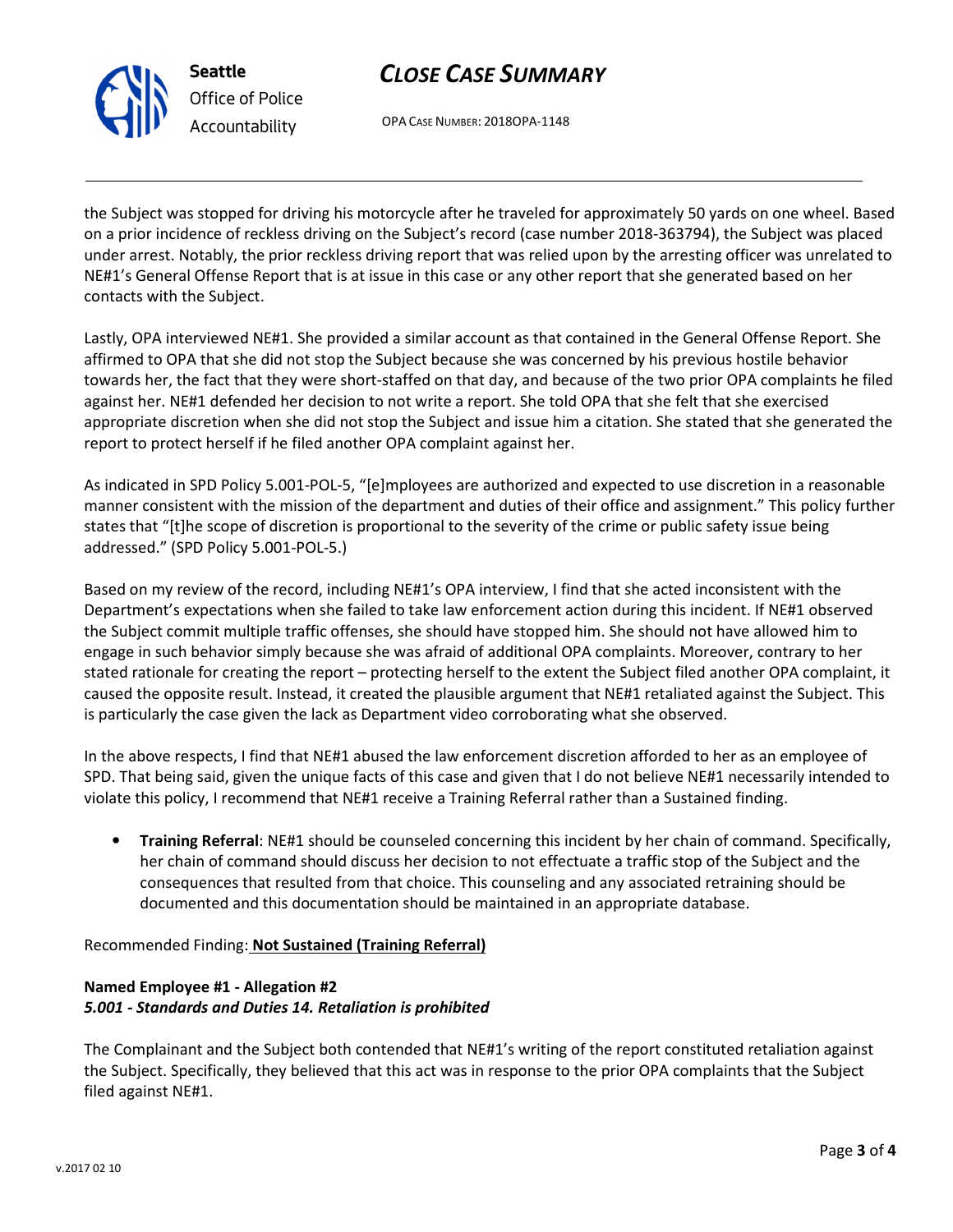

Seattle Office of Police Accountability

# CLOSE CASE SUMMARY

OPA CASE NUMBER: 2018OPA-1148

the Subject was stopped for driving his motorcycle after he traveled for approximately 50 yards on one wheel. Based on a prior incidence of reckless driving on the Subject's record (case number 2018-363794), the Subject was placed under arrest. Notably, the prior reckless driving report that was relied upon by the arresting officer was unrelated to NE#1's General Offense Report that is at issue in this case or any other report that she generated based on her contacts with the Subject.

Lastly, OPA interviewed NE#1. She provided a similar account as that contained in the General Offense Report. She affirmed to OPA that she did not stop the Subject because she was concerned by his previous hostile behavior towards her, the fact that they were short-staffed on that day, and because of the two prior OPA complaints he filed against her. NE#1 defended her decision to not write a report. She told OPA that she felt that she exercised appropriate discretion when she did not stop the Subject and issue him a citation. She stated that she generated the report to protect herself if he filed another OPA complaint against her.

As indicated in SPD Policy 5.001-POL-5, "[e]mployees are authorized and expected to use discretion in a reasonable manner consistent with the mission of the department and duties of their office and assignment." This policy further states that "[t]he scope of discretion is proportional to the severity of the crime or public safety issue being addressed." (SPD Policy 5.001-POL-5.)

Based on my review of the record, including NE#1's OPA interview, I find that she acted inconsistent with the Department's expectations when she failed to take law enforcement action during this incident. If NE#1 observed the Subject commit multiple traffic offenses, she should have stopped him. She should not have allowed him to engage in such behavior simply because she was afraid of additional OPA complaints. Moreover, contrary to her stated rationale for creating the report – protecting herself to the extent the Subject filed another OPA complaint, it caused the opposite result. Instead, it created the plausible argument that NE#1 retaliated against the Subject. This is particularly the case given the lack as Department video corroborating what she observed.

In the above respects, I find that NE#1 abused the law enforcement discretion afforded to her as an employee of SPD. That being said, given the unique facts of this case and given that I do not believe NE#1 necessarily intended to violate this policy, I recommend that NE#1 receive a Training Referral rather than a Sustained finding.

• Training Referral: NE#1 should be counseled concerning this incident by her chain of command. Specifically, her chain of command should discuss her decision to not effectuate a traffic stop of the Subject and the consequences that resulted from that choice. This counseling and any associated retraining should be documented and this documentation should be maintained in an appropriate database.

Recommended Finding: Not Sustained (Training Referral)

## Named Employee #1 - Allegation #2 5.001 - Standards and Duties 14. Retaliation is prohibited

The Complainant and the Subject both contended that NE#1's writing of the report constituted retaliation against the Subject. Specifically, they believed that this act was in response to the prior OPA complaints that the Subject filed against NE#1.